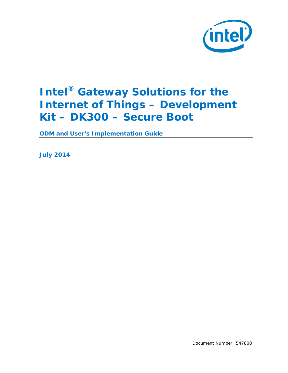

# **Intel® Gateway Solutions for the Internet of Things – Development Kit – DK300 – Secure Boot**

**ODM and User's Implementation Guide**

*July 2014*

Document Number: 547808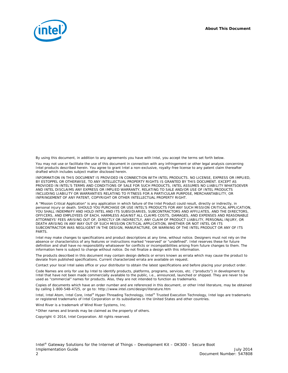*About This Document*



By using this document, in addition to any agreements you have with Intel, you accept the terms set forth below.

You may not use or facilitate the use of this document in connection with any infringement or other legal analysis concerning Intel products described herein. You agree to grant Intel a non-exclusive, royalty-free license to any patent claim thereafter drafted which includes subject matter disclosed herein.

INFORMATION IN THIS DOCUMENT IS PROVIDED IN CONNECTION WITH INTEL PRODUCTS. NO LICENSE, EXPRESS OR IMPLIED, BY ESTOPPEL OR OTHERWISE, TO ANY INTELLECTUAL PROPERTY RIGHTS IS GRANTED BY THIS DOCUMENT. EXCEPT AS PROVIDED IN INTEL'S TERMS AND CONDITIONS OF SALE FOR SUCH PRODUCTS, INTEL ASSUMES NO LIABILITY WHATSOEVER AND INTEL DISCLAIMS ANY EXPRESS OR IMPLIED WARRANTY, RELATING TO SALE AND/OR USE OF INTEL PRODUCTS INCLUDING LIABILITY OR WARRANTIES RELATING TO FITNESS FOR A PARTICULAR PURPOSE, MERCHANTABILITY, OR INFRINGEMENT OF ANY PATENT, COPYRIGHT OR OTHER INTELLECTUAL PROPERTY RIGHT.

A "Mission Critical Application" is any application in which failure of the Intel Product could result, directly or indirectly, in personal injury or death. SHOULD YOU PURCHASE OR USE INTEL'S PRODUCTS FOR ANY SUCH MISSION CRITICAL APPLICATION, YOU SHALL INDEMNIFY AND HOLD INTEL AND ITS SUBSIDIARIES, SUBCONTRACTORS AND AFFILIATES, AND THE DIRECTORS, OFFICERS, AND EMPLOYEES OF EACH, HARMLESS AGAINST ALL CLAIMS COSTS, DAMAGES, AND EXPENSES AND REASONABLE ATTORNEYS' FEES ARISING OUT OF, DIRECTLY OR INDIRECTLY, ANY CLAIM OF PRODUCT LIABILITY, PERSONAL INJURY, OR DEATH ARISING IN ANY WAY OUT OF SUCH MISSION CRITICAL APPLICATION, WHETHER OR NOT INTEL OR ITS SUBCONTRACTOR WAS NEGLIGENT IN THE DESIGN, MANUFACTURE, OR WARNING OF THE INTEL PRODUCT OR ANY OF ITS PARTS.

Intel may make changes to specifications and product descriptions at any time, without notice. Designers must not rely on the absence or characteristics of any features or instructions marked "reserved" or "undefined". Intel reserves these for future definition and shall have no responsibility whatsoever for conflicts or incompatibilities arising from future changes to them. The information here is subject to change without notice. Do not finalize a design with this information.

The products described in this document may contain design defects or errors known as errata which may cause the product to deviate from published specifications. Current characterized errata are available on request.

Contact your local Intel sales office or your distributor to obtain the latest specifications and before placing your product order.

Code Names are only for use by Intel to identify products, platforms, programs, services, etc. ("products") in development by Intel that have not been made commercially available to the public, i.e., announced, launched or shipped. They are never to be used as "commercial" names for products. Also, they are not intended to function as trademarks.

Copies of documents which have an order number and are referenced in this document, or other Intel literature, may be obtained by calling 1-800-548-4725, or go to[: http://www.intel.com/design/literature.htm](http://www.intel.com/design/literature.htm)

Intel, Intel Atom, Intel Core, Intel® Hyper-Threading Technology, Intel® Trusted Execution Technology, Intel logo are trademarks or registered trademarks of Intel Corporation or its subsidiaries in the United States and other countries.

Wind River is a trademark of Wind River Systems, Inc.

\*Other names and brands may be claimed as the property of others.

Copyright © 2014, Intel Corporation. All rights reserved.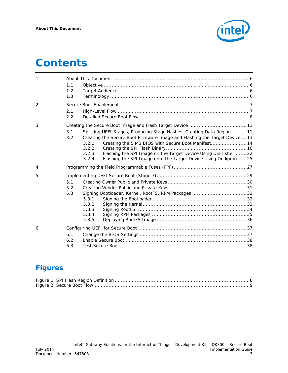

# *Contents*

| 1              |     |                                                                           |  |
|----------------|-----|---------------------------------------------------------------------------|--|
|                | 1.1 |                                                                           |  |
|                | 1.2 |                                                                           |  |
|                | 1.3 |                                                                           |  |
| $\overline{2}$ |     |                                                                           |  |
|                | 2.1 |                                                                           |  |
|                | 2.2 |                                                                           |  |
| 3              |     |                                                                           |  |
|                | 3.1 | Splitting UEFI Stages, Producing Stage Hashes, Creating Data Region11     |  |
|                | 3.2 | Creating the Secure Boot Firmware Image and Flashing the Target Device13  |  |
|                |     | Creating the 5 MB BIOS with Secure Boot Manifest 14<br>3.2.1              |  |
|                |     | 3.2.2                                                                     |  |
|                |     | Flashing the SPI Image on the Target Device Using UEFI shell  22<br>3.2.3 |  |
|                |     | Flashing the SPI Image onto the Target Device Using Dediprog25<br>3.2.4   |  |
| 4              |     |                                                                           |  |
| 5              |     |                                                                           |  |
|                | 5.1 |                                                                           |  |
|                | 5.2 |                                                                           |  |
|                | 5.3 | Signing Bootloader, Kernel, RootFS, RPM Packages 32                       |  |
|                |     | 5.3.1                                                                     |  |
|                |     | 5.3.2                                                                     |  |
|                |     | 5.3.3                                                                     |  |
|                |     | 5.3.4                                                                     |  |
|                |     | 5.3.5                                                                     |  |
| 6              |     |                                                                           |  |
|                | 6.1 |                                                                           |  |
|                | 6.2 |                                                                           |  |
|                | 6.3 |                                                                           |  |

# **Figures**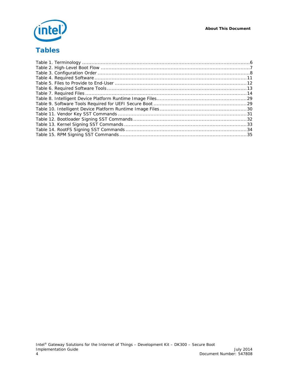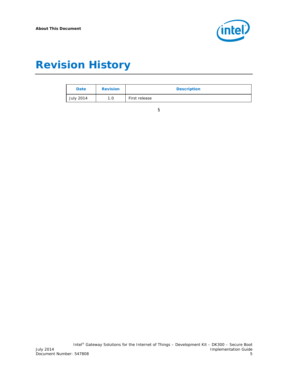

# *Revision History*

| Date             | <b>Revision</b> | <b>Description</b> |
|------------------|-----------------|--------------------|
| <b>July 2014</b> | 1.0             | First release      |

§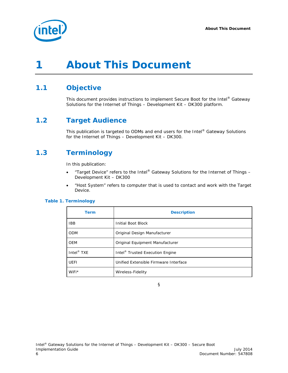

# <span id="page-5-0"></span>*1 About This Document*

## **1.1 Objective**

<span id="page-5-2"></span><span id="page-5-1"></span>This document provides instructions to implement Secure Boot for the Intel® Gateway Solutions for the Internet of Things – Development Kit – DK300 platform.

## **1.2 Target Audience**

<span id="page-5-3"></span>This publication is targeted to ODMs and end users for the Intel® Gateway Solutions for the Internet of Things – Development Kit – DK300.

## **1.3 Terminology**

In this publication:

- "Target Device" refers to the Intel® Gateway Solutions for the Internet of Things Development Kit – DK300
- "Host System" refers to computer that is used to contact and work with the Target Device.

#### <span id="page-5-4"></span>**Table 1. Terminology**

| <b>Term</b>            | <b>Description</b>                          |
|------------------------|---------------------------------------------|
| <b>IBB</b>             | Initial Boot Block                          |
| <b>ODM</b>             | Original Design Manufacturer                |
| <b>OEM</b>             | Original Equipment Manufacturer             |
| Intel <sup>®</sup> TXE | Intel <sup>®</sup> Trusted Execution Engine |
| <b>UEFI</b>            | Unified Extensible Firmware Interface       |
| WiFi*                  | Wireless-Fidelity                           |

§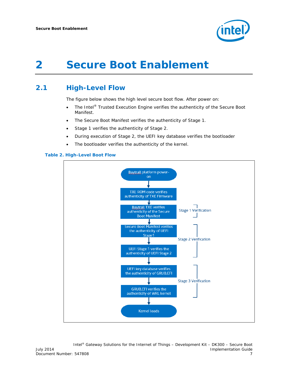

# <span id="page-6-0"></span>*2 Secure Boot Enablement*

## **2.1 High-Level Flow**

<span id="page-6-1"></span>The figure below shows the high level secure boot flow. After power on:

- The Intel<sup>®</sup> Trusted Execution Engine verifies the authenticity of the Secure Boot Manifest.
- The Secure Boot Manifest verifies the authenticity of Stage 1.
- Stage 1 verifies the authenticity of Stage 2.
- During execution of Stage 2, the UEFI key database verifies the bootloader
- The bootloader verifies the authenticity of the kernel.

<span id="page-6-2"></span>

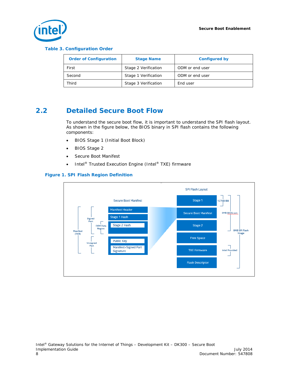

#### <span id="page-7-2"></span>**Table 3. Configuration Order**

| <b>Order of Configuration</b> | <b>Stage Name</b>    | <b>Configured by</b> |
|-------------------------------|----------------------|----------------------|
| First                         | Stage 2 Verification | ODM or end user      |
| Second                        | Stage 1 Verification | ODM or end user      |
| Third                         | Stage 3 Verification | End user             |

## **2.2 Detailed Secure Boot Flow**

<span id="page-7-0"></span>To understand the secure boot flow, it is important to understand the SPI flash layout. As shown in the figure below, the BIOS binary in SPI flash contains the following components:

- BIOS Stage 1 (Initial Boot Block)
- BIOS Stage 2
- Secure Boot Manifest
- Intel<sup>®</sup> Trusted Execution Engine (Intel<sup>®</sup> TXE) firmware

#### <span id="page-7-1"></span>**Figure 1. SPI Flash Region Definition**

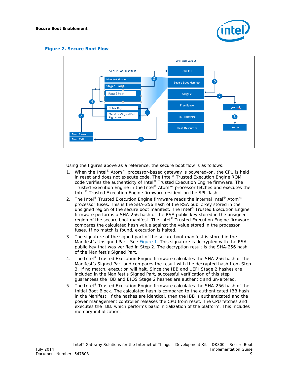

#### <span id="page-8-0"></span>**Figure 2. Secure Boot Flow**



Using the figures above as a reference, the secure boot flow is as follows:

- 1. When the Intel® Atom™ processor-based gateway is powered-on, the CPU is held in reset and does not execute code. The Intel® Trusted Execution Engine ROM code verifies the authenticity of Intel® Trusted Execution Engine firmware. The Trusted Execution Engine in the Intel® Atom™ processor fetches and executes the Intel® Trusted Execution Engine firmware resident on the SPI flash.
- 2. The Intel<sup>®</sup> Trusted Execution Engine firmware reads the internal Intel<sup>®</sup> Atom<sup>™</sup> processor fuses. This is the SHA-256 hash of the RSA public key stored in the unsigned region of the secure boot manifest. The Intel® Trusted Execution Engine firmware performs a SHA-256 hash of the RSA public key stored in the unsigned region of the secure boot manifest. The Intel® Trusted Execution Engine firmware compares the calculated hash value against the value stored in the processor fuses. If no match is found, execution is halted.
- 3. The signature of the signed part of the secure boot manifest is stored in the Manifest's Unsigned Part. See [Figure 1.](#page-7-1) This signature is decrypted with the RSA public key that was verified in Step 2. The decryption result is the SHA-256 hash of the Manifest's Signed Part.
- 4. The Intel® Trusted Execution Engine firmware calculates the SHA-256 hash of the Manifest's Signed Part and compares the result with the decrypted hash from Step 3. If no match, execution will halt. Since the IBB and UEFI Stage 2 hashes are included in the Manifest's Signed Part, successful verification of this step guarantees the IBB and BIOS Stage 2 hashes are authentic and un-altered.
- 5. The Intel® Trusted Execution Engine firmware calculates the SHA-256 hash of the Initial Boot Block. The calculated hash is compared to the authenticated IBB hash in the Manifest. If the hashes are identical, then the IBB is authenticated and the power management controller releases the CPU from reset. The CPU fetches and executes the IBB, which performs basic initialization of the platform. This includes memory initialization.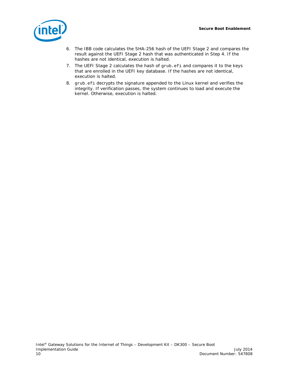

- 6. The IBB code calculates the SHA-256 hash of the UEFI Stage 2 and compares the result against the UEFI Stage 2 hash that was authenticated in Step 4. If the hashes are not identical, execution is halted.
- 7. The UEFI Stage 2 calculates the hash of grub.efi and compares it to the keys that are enrolled in the UEFI key database. If the hashes are not identical, execution is halted.
- 8. grub.efi decrypts the signature appended to the Linux kernel and verifies the integrity. If verification passes, the system continues to load and execute the kernel. Otherwise, execution is halted.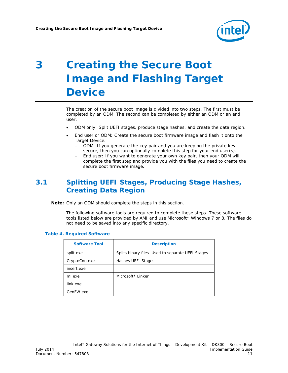

# <span id="page-10-0"></span>*3 Creating the Secure Boot Image and Flashing Target Device*

The creation of the secure boot image is divided into two steps. The first must be completed by an ODM. The second can be completed by either an ODM or an end user:

- ODM only: Split UEFI stages, produce stage hashes, and create the data region.
- End user or ODM: Create the secure boot firmware image and flash it onto the Target Device.
	- − ODM: If you generate the key pair and you are keeping the private key secure, then you can optionally complete this step for your end user(s).
	- − End user: If you want to generate your own key pair, then your ODM will complete the first step and provide you with the files you need to create the secure boot firmware image.

## <span id="page-10-1"></span>**3.1 Splitting UEFI Stages, Producing Stage Hashes, Creating Data Region**

*Note:* Only an ODM should complete the steps in this section.

The following software tools are required to complete these steps. These software tools listed below are provided by AMI and use Microsoft\* Windows 7 or 8. The files do not need to be saved into any specific directory.

#### <span id="page-10-2"></span>**Table 4. Required Software**

| <b>Software Tool</b> | <b>Description</b>                                |
|----------------------|---------------------------------------------------|
| split.exe            | Splits binary files. Used to separate UEFI Stages |
| CryptoCon.exe        | Hashes UEFI Stages                                |
| insert.exe           |                                                   |
| ml.exe               | Microsoft* Linker                                 |
| link.exe             |                                                   |
| GenFW.exe            |                                                   |
|                      |                                                   |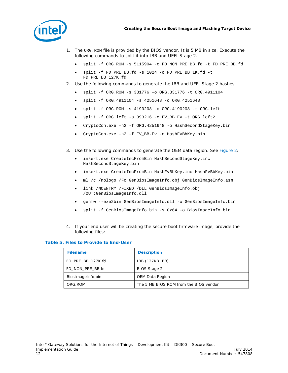



- 1. The ORG.ROM file is provided by the BIOS vendor. It is 5 MB in size. Execute the following commands to split it into IBB and UEFI Stage 2.
	- split -f ORG.ROM -s 5115904 -o FD\_NON\_PRE\_BB.fd -t FD\_PRE\_BB.fd
	- split -f FD\_PRE\_BB.fd -s 1024 -o FD\_PRE\_BB\_1K.fd -t FD\_PRE\_BB\_127K.fd
- 2. Use the following commands to generate the IBB and UEFI Stage 2 hashes:
	- split -f ORG.ROM -s 331776 -o ORG.331776 -t ORG.4911104
	- split -f ORG.4911104 -s 4251648 -o ORG.4251648
	- split -f ORG.ROM -s 4190208 -o ORG.4190208 -t ORG.left
	- split -f ORG.left -s 393216 -o FV\_BB.Fv -t ORG.left2
	- CryptoCon.exe -h2 -f ORG.4251648 -o HashSecondStageKey.bin
	- CryptoCon.exe -h2 -f FV\_BB.Fv -o HashFvBbKey.bin
- 3. Use the following commands to generate the OEM data region. See [Figure 2:](#page-8-0)
	- insert.exe CreateIncFromBin HashSecondStageKey.inc HashSecondStageKey.bin
	- insert.exe CreateIncFromBin HashFvBbKey.inc HashFvBbKey.bin
	- ml /c /nologo /Fo GenBiosImageInfo.obj GenBiosImageInfo.asm
	- link /NOENTRY /FIXED /DLL GenBiosImageInfo.obj /OUT:GenBiosImageInfo.dll
	- genfw --exe2bin GenBiosImageInfo.dll -o GenBiosImageInfo.bin
	- split -f GenBiosImageInfo.bin -s 0x64 -o BiosImageInfo.bin
- 4. If your end user will be creating the secure boot firmware image, provide the following files:

#### <span id="page-11-0"></span>**Table 5. Files to Provide to End-User**

| <b>Filename</b>   | <b>Description</b>                     |
|-------------------|----------------------------------------|
| FD_PRE_BB_127K.fd | <b>IBB (127KB IBB)</b>                 |
| FD NON PRE BB.fd  | BIOS Stage 2                           |
| BiosImageInfo.bin | OEM Data Region                        |
| ORG.ROM           | The 5 MB BIOS ROM from the BIOS vendor |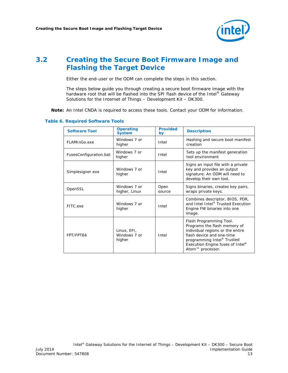

## **3.2 Creating the Secure Boot Firmware Image and Flashing the Target Device**

<span id="page-12-0"></span>Either the end-user or the ODM can complete the steps in this section.

The steps below guide you through creating a secure boot firmware image with the hardware root that will be flashed into the SPI flash device of the Intel® Gateway Solutions for the Internet of Things – Development Kit – DK300.

*Note:* An Intel CNDA is required to access these tools. Contact your ODM for information.

#### <span id="page-12-1"></span>**Table 6. Required Software Tools**

| <b>Software Tool</b>   | <b>Operating</b><br><b>System</b>     | <b>Provided</b><br>by | <b>Description</b>                                                                                                                                                                                                                     |  |
|------------------------|---------------------------------------|-----------------------|----------------------------------------------------------------------------------------------------------------------------------------------------------------------------------------------------------------------------------------|--|
| FLAMInGo.exe           | Windows 7 or<br>higher                | Intel                 | Hashing and secure boot manifest<br>creation                                                                                                                                                                                           |  |
| FusesConfiguration.bat | Windows 7 or<br>higher                | Intel                 | Sets up the manifest generation<br>tool environment                                                                                                                                                                                    |  |
| Simplesigner.exe       | Windows 7 or<br>higher                | Intel                 | Signs an input file with a private<br>key and provides an output<br>signature. An ODM will need to<br>develop their own tool.                                                                                                          |  |
| OpenSSL                | Windows 7 or<br>higher, Linux         | Open<br>source        | Signs binaries, creates key pairs,<br>wraps private keys.                                                                                                                                                                              |  |
| FITC.exe               | Windows 7 or<br>higher                | Intel                 | Combines descriptor, BIOS, PDR,<br>and Intel Intel® Trusted Execution<br>Engine FW binaries into one<br>image.                                                                                                                         |  |
| FPT/FPT64              | Linux, EFI,<br>Windows 7 or<br>higher | Intel                 | Flash Programming Tool.<br>Programs the flash memory of<br>individual regions or the entire<br>flash device and one-time<br>programming Intel <sup>®</sup> Trusted<br>Execution Engine fuses of Intel®<br>Atom <sup>™</sup> processor. |  |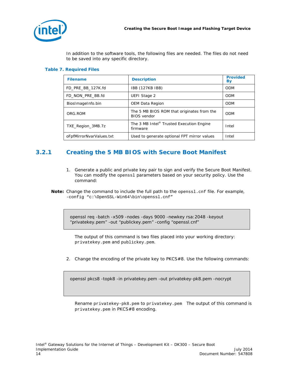

In addition to the software tools, the following files are needed. The files do not need to be saved into any specific directory.

#### <span id="page-13-1"></span>**Table 7. Required Files**

| <b>Filename</b>          | <b>Description</b>                                               | <b>Provided</b><br><b>By</b> |
|--------------------------|------------------------------------------------------------------|------------------------------|
| FD_PRE_BB_127K.fd        | <b>IBB (127KB IBB)</b>                                           | <b>ODM</b>                   |
| FD_NON_PRE_BB.fd         | <b>UEFI Stage 2</b>                                              | <b>ODM</b>                   |
| BiosImageInfo.bin        | OEM Data Region                                                  | <b>ODM</b>                   |
| ORG.ROM                  | The 5 MB BIOS ROM that originates from the<br><b>BIOS</b> vendor | <b>ODM</b>                   |
| TXE_Region_3MB.7z        | The 3 MB Intel <sup>®</sup> Trusted Execution Engine<br>firmware | Intel                        |
| oFpfMirrorNvarValues.txt | Used to generate optional FPT mirror values                      | Intel                        |

## **3.2.1 Creating the 5 MB BIOS with Secure Boot Manifest**

- <span id="page-13-0"></span>1. Generate a public and private key pair to sign and verify the Secure Boot Manifest. You can modify the openssl parameters based on your security policy. Use the command:
- *Note:* Change the command to include the full path to the openssl.cnf file. For example, -config "c:\OpenSSL-Win64\bin\openssl.cnf"

openssl req -batch -x509 -nodes -days 9000 -newkey rsa:2048 -keyout "privatekey.pem" -out "publickey.pem" -config "openssl.cnf"

The output of this command is two files placed into your working directory: privatekey.pem and publickey.pem.

2. Change the encoding of the private key to PKCS#8. Use the following commands:

openssl pkcs8 -topk8 -in privatekey.pem -out privatekey-pk8.pem -nocrypt

Rename privatekey-pk8.pem to privatekey.pem The output of this command is privatekey.pem in PKCS#8 encoding.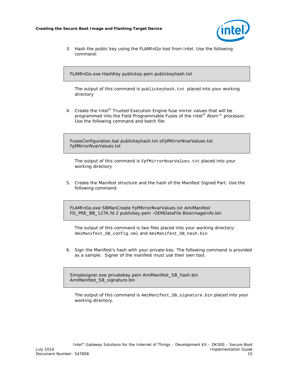

3. Hash the public key using the FLAMInGo tool from Intel. Use the following command:

FLAMInGo.exe HashKey publickey.pem publickeyhash.txt

The output of this command is publickeyhash.txt placed into your working directory

4. Create the Intel® Trusted Execution Engine fuse mirror values that will be programmed into the Field Programmable Fuses of the Intel<sup>®</sup> Atom™ processor. Use the following command and batch file:

FusesConfiguration.bat publickeyhash.txt oFpfMirrorNvarValues.txt FpfMirrorNvarValues.txt

The output of this command is FpfMirrorNvarValues.txt placed into your working directory

5. Create the Manifest structure and the hash of the Manifest Signed Part. Use the following command:

FLAMInGo.exe SBManCreate FpfMirrorNvarValues.txt AmiManifest FD\_PRE\_BB\_127K.fd 2 publickey.pem -OEMDataFile BiosImageInfo.bin

The output of this command is two files placed into your working directory: AmiManifest\_SB\_config.xml and AmiManifest\_SB\_hash.bin

6. Sign the Manifest's hash with your private key. The following command is provided as a sample. Signer of the manifest must use their own tool.

Simplesigner.exe privatekey.pem AmiManifest\_SB\_hash.bin AmiManifest\_SB\_signature.bin

The output of this command is AmiManifest\_SB\_signature.bin placed into your working directory.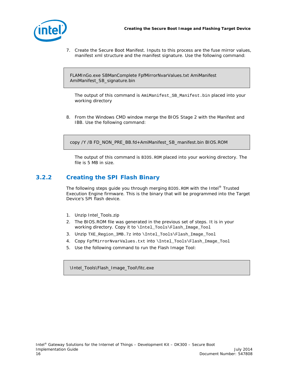

7. Create the Secure Boot Manifest. Inputs to this process are the fuse mirror values, manifest xml structure and the manifest signature. Use the following command:

FLAMInGo.exe SBManComplete FpfMirrorNvarValues.txt AmiManifest AmiManifest\_SB\_signature.bin

The output of this command is AmiManifest\_SB\_Manifest.bin placed into your working directory

8. From the Windows CMD window merge the BIOS Stage 2 with the Manifest and IBB. Use the following command:

copy /Y /B FD\_NON\_PRE\_BB.fd+AmiManifest\_SB\_manifest.bin BIOS.ROM

<span id="page-15-0"></span>The output of this command is BIOS.ROM placed into your working directory. The file is 5 MB in size.

### **3.2.2 Creating the SPI Flash Binary**

The following steps guide you through merging BIOS.ROM with the Intel® Trusted Execution Engine firmware. This is the binary that will be programmed into the Target Device's SPI flash device.

- 1. Unzip Intel\_Tools.zip
- 2. The BIOS.ROM file was generated in the previous set of steps. It is in your working directory. Copy it to \Intel\_Tools\Flash\_Image\_Tool
- 3. Unzip TXE\_Region\_3MB.7z into \Intel\_Tools\Flash\_Image\_Tool
- 4. Copy FpfMirrorNvarValues.txt into \Intel\_Tools\Flash\_Image\_Tool
- 5. Use the following command to run the Flash Image Tool:

\Intel\_Tools\Flash\_Image\_Tool\fitc.exe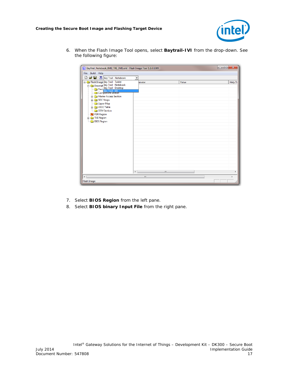

6. When the Flash Image Tool opens, select **Baytrail-IVI** from the drop-down. See the following figure:

| File Build Help<br>□ □ □ □ □ Bay Trail - Notebook<br>$\blacktriangledown$<br>Flash Image Bay Trail - Tablet<br>Value<br>Help To<br>ameter<br>→ The Descript Bay Trail - Notebook<br>→ Descript Bay Trail - Notebook<br>→ Descript Bay Trail - Desktop<br>→ Component section<br><b>E</b> Master Access Section<br>SOC Straps<br>Upper Map<br><b>E-C</b> VSCC Table<br><b>OEM Section</b><br>PDR Region<br><b>E</b> TXE Region<br><b>BIOS Region</b><br>$\overline{a}$<br>$\mathbf{m}$<br>þ<br>$\overline{\phantom{a}}$<br>m<br>ħ<br>Flash Image | $\Box$ e<br>$\mathbf{x}$<br>BayTrail_Notebook_8MB_TXE_3MB.xml - Flash Image Tool 1.1.0.1089 |  |  |  |  |  |  |  |  |
|-------------------------------------------------------------------------------------------------------------------------------------------------------------------------------------------------------------------------------------------------------------------------------------------------------------------------------------------------------------------------------------------------------------------------------------------------------------------------------------------------------------------------------------------------|---------------------------------------------------------------------------------------------|--|--|--|--|--|--|--|--|
|                                                                                                                                                                                                                                                                                                                                                                                                                                                                                                                                                 |                                                                                             |  |  |  |  |  |  |  |  |
|                                                                                                                                                                                                                                                                                                                                                                                                                                                                                                                                                 |                                                                                             |  |  |  |  |  |  |  |  |
|                                                                                                                                                                                                                                                                                                                                                                                                                                                                                                                                                 |                                                                                             |  |  |  |  |  |  |  |  |
|                                                                                                                                                                                                                                                                                                                                                                                                                                                                                                                                                 |                                                                                             |  |  |  |  |  |  |  |  |
|                                                                                                                                                                                                                                                                                                                                                                                                                                                                                                                                                 |                                                                                             |  |  |  |  |  |  |  |  |

- 7. Select **BIOS Region** from the left pane.
- 8. Select **BIOS binary Input File** from the right pane.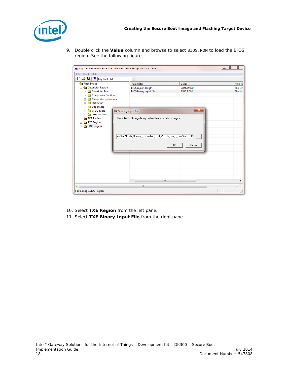

9. Double click the **Value** column and browse to select BIOS.ROM to load the BIOS region. See the following figure.

| RayTrail_Notebook_8MB_TXE_3MB.xml - Flash Image Tool 1.1.0.1089                                                                            |                                                                                                                                          |                               | $\Box$<br>$\Sigma$<br>$\qquad \qquad \Box$ |  |  |  |  |  |
|--------------------------------------------------------------------------------------------------------------------------------------------|------------------------------------------------------------------------------------------------------------------------------------------|-------------------------------|--------------------------------------------|--|--|--|--|--|
| Build Help<br>File                                                                                                                         |                                                                                                                                          |                               |                                            |  |  |  |  |  |
| $\mathbb{E} \left[ \frac{1}{2} \right]$ $\mathbb{E} \left[ \frac{1}{2} \right]$ Bay Trail - M<br>D<br>$\overline{\phantom{a}}$             |                                                                                                                                          |                               |                                            |  |  |  |  |  |
| <b>El-Ca</b> Flash Image                                                                                                                   | Parameter                                                                                                                                | Value                         | Help To                                    |  |  |  |  |  |
| <b>Descriptor Region</b><br><b>Descriptor Map</b><br><b>Component Section</b><br><b>E</b> Master Access Section<br>SOC Straps<br>Upper Map | <b>BIOS</b> region length<br><b>BIOS</b> binary input file                                                                               | 0x00000000<br><b>BIOS.ROM</b> | This is:<br>This is:                       |  |  |  |  |  |
| <b>En VSCC Table</b><br><b>BIOS</b> binary input file                                                                                      |                                                                                                                                          | $\overline{\mathbf{x}}$       |                                            |  |  |  |  |  |
| <b>OEM Section</b><br>PDR Region<br><b>E</b> TXE Region<br><b>BIOS</b> Region                                                              | This is the BIOS image binary that will be copied into this region.<br>ols\AMI\Flash_Manifest_Generation_Tool_2\Flash_Image_Tool\AMI.ROM | $\sim$<br>0K<br>Cancel        |                                            |  |  |  |  |  |
|                                                                                                                                            | $\overline{ }$<br>$\mathbf{m}$                                                                                                           |                               |                                            |  |  |  |  |  |
| $\overline{4}$<br>m<br>Þ                                                                                                                   |                                                                                                                                          |                               |                                            |  |  |  |  |  |
| Flash Image\BIOS Region                                                                                                                    |                                                                                                                                          |                               |                                            |  |  |  |  |  |

- 10. Select **TXE Region** from the left pane.
- 11. Select **TXE Binary Input File** from the right pane.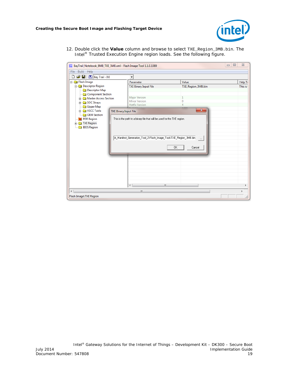

12. Double click the **Value** column and browse to select TXE\_Region\_3MB.bin. The Intel® Trusted Execution Engine region loads. See the following figure.

| $\Box$<br>$\qquad \qquad \Box$<br>RayTrail_Notebook_8MB_TXE_3MB.xml - Flash Image Tool 1.1.0.1089 |                                                                         |                         |  | $\Sigma$ |  |  |
|---------------------------------------------------------------------------------------------------|-------------------------------------------------------------------------|-------------------------|--|----------|--|--|
| Build Help<br>File                                                                                |                                                                         |                         |  |          |  |  |
| $\mathcal{L} \subseteq \Box$ Bay Trail - M<br>D                                                   | $\overline{\phantom{a}}$                                                |                         |  |          |  |  |
| <b>E</b> Flash Image                                                                              | Parameter                                                               | Value                   |  | Help To  |  |  |
| Descriptor Region                                                                                 | <b>TXE Binary Input File</b>                                            | TXE_Region_3MB.bin      |  | This is: |  |  |
| <b>Descriptor Map</b><br>Component Section                                                        |                                                                         |                         |  |          |  |  |
| <b>Fi</b> - <b>C</b> Master Access Section                                                        | <b>Major Version</b>                                                    | 1                       |  |          |  |  |
| SOC Straps                                                                                        | <b>Minor Version</b>                                                    | 0                       |  |          |  |  |
| <b>Deper Map</b>                                                                                  | <b>Hotfix Version</b>                                                   | 4                       |  |          |  |  |
| <b>NSCC Table</b><br><b>TXE Binary Input File</b>                                                 |                                                                         | $\overline{\mathbf{x}}$ |  |          |  |  |
| OEM Section<br>PDR Region                                                                         | This is the path to a binary file that will be used for the TXE region. |                         |  |          |  |  |
| $\frac{1}{2}$ TXE Region                                                                          |                                                                         |                         |  |          |  |  |
| <b>BIOS Region</b>                                                                                |                                                                         |                         |  |          |  |  |
|                                                                                                   |                                                                         |                         |  |          |  |  |
|                                                                                                   | sh_Manifest_Generation_Tool_2\Flash_Image_Tool\TXE_Region_3MB.bin       | $\cdots$                |  |          |  |  |
|                                                                                                   |                                                                         |                         |  |          |  |  |
|                                                                                                   | 0K                                                                      | Cancel                  |  |          |  |  |
|                                                                                                   |                                                                         |                         |  |          |  |  |
|                                                                                                   |                                                                         |                         |  |          |  |  |
|                                                                                                   |                                                                         |                         |  |          |  |  |
|                                                                                                   |                                                                         |                         |  |          |  |  |
|                                                                                                   |                                                                         |                         |  |          |  |  |
|                                                                                                   |                                                                         |                         |  |          |  |  |
|                                                                                                   | m                                                                       |                         |  |          |  |  |
|                                                                                                   | $\leftarrow$                                                            |                         |  | ۰        |  |  |
| $\overline{a}$<br>m<br>Þ                                                                          |                                                                         |                         |  |          |  |  |
| Flash Image\TXE Region                                                                            |                                                                         |                         |  |          |  |  |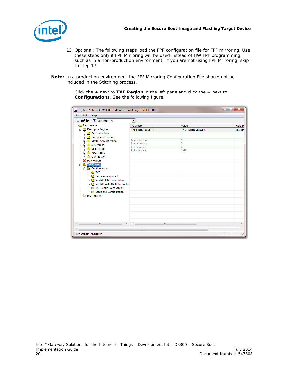

- 13. Optional: The following steps load the FPF configuration file for FPF mirroring. Use these steps only if FPF Mirroring will be used instead of HW FPF programming, such as in a non-production environment. If you are not using FPF Mirroring, skip to step 17.
- *Note:* In a production environment the FPF Mirroring Configuration File should not be included in the Stitching process.

Click the **+** next to **TXE Region** in the left pane and click the **+** next to **Configurations**. See the following figure.

| RayTrail_Notebook_8MB_TXE_3MB.xml - Flash Image Tool 1.1.0.1089 |                                               |                    | $\mathbf{x}$<br>$\Box$ e |  |  |
|-----------------------------------------------------------------|-----------------------------------------------|--------------------|--------------------------|--|--|
| File Build Help                                                 |                                               |                    |                          |  |  |
| <b>G</b> ■ 图 <sub>Bay</sub> Trail - M<br>D                      | $\overline{\phantom{a}}$                      |                    |                          |  |  |
| <b>El-Ca</b> Flash Image                                        | Parameter                                     | Value              | Help To                  |  |  |
| Descriptor Region                                               | <b>TXE Binary Input File</b>                  | TXE_Region_3MB.bin | This is:                 |  |  |
| Descriptor Map                                                  |                                               |                    |                          |  |  |
| Component Section                                               |                                               |                    |                          |  |  |
| Master Access Section                                           | <b>Major Version</b>                          | 1                  |                          |  |  |
| SOC Straps                                                      | <b>Minor Version</b><br><b>Hotfix Version</b> | $\theta$<br>4      |                          |  |  |
| Upper Map                                                       | <b>Build Version</b>                          | 1089               |                          |  |  |
| <b>En VSCC Table</b>                                            |                                               |                    |                          |  |  |
| <b>OEM Section</b>                                              |                                               |                    |                          |  |  |
| PDR Region                                                      |                                               |                    |                          |  |  |
| <b>E</b> TXE Region                                             |                                               |                    |                          |  |  |
| <b>Configuration</b>                                            |                                               |                    |                          |  |  |
| <b>TXE</b>                                                      |                                               |                    |                          |  |  |
| Features Supported                                              |                                               |                    |                          |  |  |
| Intel (R) NFC Capabilities                                      |                                               |                    |                          |  |  |
| Intel (R) Anti-Theft Technolo                                   |                                               |                    |                          |  |  |
| TXE Debug Event Service                                         |                                               |                    |                          |  |  |
| Setup and Configuration                                         |                                               |                    |                          |  |  |
| <b>BIOS</b> Region                                              |                                               |                    |                          |  |  |
|                                                                 |                                               |                    |                          |  |  |
|                                                                 |                                               |                    |                          |  |  |
|                                                                 |                                               |                    |                          |  |  |
|                                                                 |                                               |                    |                          |  |  |
|                                                                 |                                               |                    |                          |  |  |
|                                                                 |                                               |                    |                          |  |  |
| m.<br>k<br>∢                                                    | $\leftarrow$<br>m.                            |                    | þ                        |  |  |
| m.<br>٠                                                         |                                               |                    |                          |  |  |
|                                                                 |                                               |                    |                          |  |  |
| Flash Image\TXE Region                                          |                                               |                    |                          |  |  |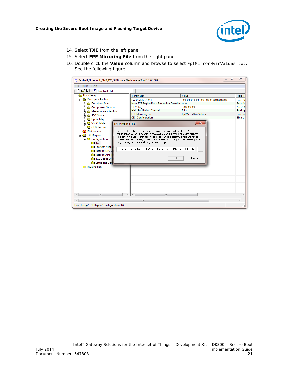

- 14. Select **TXE** from the left pane.
- 15. Select **FPF Mirroring File** from the right pane.
- 16. Double click the **Value** column and browse to select FpfMirrorNvarValues.txt. See the following figure.

| Build<br><b>File</b><br>Help                                                                                                                                                                                                                                                                                                                                                                                                                                                                                                                                                                                                                                                                                                              |                                                            |  |  |  |  |
|-------------------------------------------------------------------------------------------------------------------------------------------------------------------------------------------------------------------------------------------------------------------------------------------------------------------------------------------------------------------------------------------------------------------------------------------------------------------------------------------------------------------------------------------------------------------------------------------------------------------------------------------------------------------------------------------------------------------------------------------|------------------------------------------------------------|--|--|--|--|
| cэп<br>Bay Trail - MI<br>$\blacktriangledown$                                                                                                                                                                                                                                                                                                                                                                                                                                                                                                                                                                                                                                                                                             |                                                            |  |  |  |  |
| <b>Elash Image</b><br>Value<br>Parameter                                                                                                                                                                                                                                                                                                                                                                                                                                                                                                                                                                                                                                                                                                  | Help To                                                    |  |  |  |  |
| <b>Descriptor Region</b><br>FW Update OEM ID<br>00000000-0000-0000-0000-000000000000<br><b>Descriptor Map</b><br>Host TXE Region Flash Protection Override true<br>0x00000000<br>OEM Tag<br><b>Component Section</b><br><b>Hide FW Update Control</b><br>false<br><b>En Master Access Section</b><br>FpfMirrorNvarValues.txt<br><b>FPF Mirroring File</b><br>SOC Straps                                                                                                                                                                                                                                                                                                                                                                   | <b>Enter U</b><br>Set this<br>An OEM<br>Setting<br>Enter a |  |  |  |  |
| <b>CEK Configuration</b><br><b>Deper Map</b><br>х<br><b>En VSCC Table</b><br><b>FPF Mirroring File</b>                                                                                                                                                                                                                                                                                                                                                                                                                                                                                                                                                                                                                                    | Binary                                                     |  |  |  |  |
| <b>Company</b> OEM Section<br>Enter a path to the FPF mirroring file. Note: This option will create a FPF<br><b>X</b> PDR Region<br>configuration for TXE Firmware to emulate fuse configuration for testing purpose.<br><b>Extra TXE Region</b><br>This option will not program real fuses. Fuse values programmed here will not be<br><b>Configuration</b><br>used once manufacturing is closed. Real fuses should be programmed using Flash<br>Programming Tool before closing manufacturing.<br><b>TXE</b><br><b>Reatures Support</b><br>1. Manifest_Generation_Tool_2\Flash_Image_Tool\FpfMirrorNvarValues.tx;<br>Intel (R) NFC C<br>Intel (R) Anti-T<br><b>OK</b><br>Cancel<br>TXE Debug Eve<br>Setup and Con<br><b>BIOS Region</b> |                                                            |  |  |  |  |
| $\overline{\phantom{a}}$<br>m.<br>m.<br>$\overline{a}$<br>$\overline{ }$                                                                                                                                                                                                                                                                                                                                                                                                                                                                                                                                                                                                                                                                  |                                                            |  |  |  |  |
| $\overline{\phantom{a}}$<br>m.<br>Flash Image\TXE Region\Configuration\TXE                                                                                                                                                                                                                                                                                                                                                                                                                                                                                                                                                                                                                                                                |                                                            |  |  |  |  |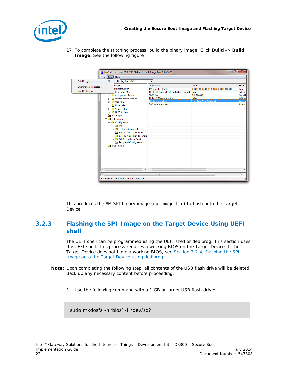

17. To complete the stitching process, build the binary image. Click **Build** -> **Build Image**. See the following figure.

|                                                       |                          | BayTrail_Notebook_8MB_TXE_3MB.xml - Flash Image Tool 1.1.0.1089                                                                                                                                                                                                                                                                                                                                                                     |                                                                                                                                                                                             | $\Box$                                                                                          | $\overline{\mathbf{x}}$                                                                       |
|-------------------------------------------------------|--------------------------|-------------------------------------------------------------------------------------------------------------------------------------------------------------------------------------------------------------------------------------------------------------------------------------------------------------------------------------------------------------------------------------------------------------------------------------|---------------------------------------------------------------------------------------------------------------------------------------------------------------------------------------------|-------------------------------------------------------------------------------------------------|-----------------------------------------------------------------------------------------------|
|                                                       | File Build               | Help                                                                                                                                                                                                                                                                                                                                                                                                                                |                                                                                                                                                                                             |                                                                                                 |                                                                                               |
| <b>Build Image</b>                                    | F5                       | Bay Trail - M                                                                                                                                                                                                                                                                                                                                                                                                                       | ۰                                                                                                                                                                                           |                                                                                                 |                                                                                               |
| <b>Environment Variables</b><br><b>Build Settings</b> | o                        | Image<br><b>Iscriptor Region</b><br><b>Descriptor Map</b><br>Component Section<br>Master Access Section<br>SOC Straps<br>Upper Map<br><b>File</b> VSCC Table<br><b>Company</b> OEM Section<br>PDR Region<br><b>Extra TXE Region</b><br>Configuration<br><b>TXE</b><br>Features Supported<br>Intel (R) NFC Capabilities<br>Intel (R) Anti-Theft Technolo<br>TXE Debug Event Service<br>Setup and Configuration<br><b>BIOS Region</b> | Parameter<br>FW Update OEM ID<br>Host TXE Region Flash Protection Override true<br><b>OEM Tag</b><br><b>Hide FW Update Control</b><br><b>FPF Mirroring File</b><br><b>CEK Configuration</b> | Value<br>00000000-0000-0000-0000-000000000000<br>0x00000000<br>false<br>FpfMirrorNvarValues.txt | Help To<br><b>Enter U</b><br>Set this<br>An OEM<br><b>Setting</b><br>Enter a<br><b>Binary</b> |
|                                                       | $\overline{\phantom{a}}$ | m.<br>$\overline{a}$                                                                                                                                                                                                                                                                                                                                                                                                                | $\overline{A}$<br>m.                                                                                                                                                                        |                                                                                                 | k                                                                                             |
|                                                       |                          |                                                                                                                                                                                                                                                                                                                                                                                                                                     | m.                                                                                                                                                                                          |                                                                                                 |                                                                                               |
|                                                       |                          | Flash Image\TXE Region\Configuration\TXE                                                                                                                                                                                                                                                                                                                                                                                            |                                                                                                                                                                                             |                                                                                                 |                                                                                               |

<span id="page-21-0"></span>This produces the 8M SPI binary image (outimage.bin) to flash onto the Target Device.

### **3.2.3 Flashing the SPI Image on the Target Device Using UEFI shell**

The UEFI shell can be programmed using the UEFI shell or dediprog. This section uses the UEFI shell. This process requires a working BIOS on the Target Device. If the Target Device does not have a working BIOS, see Section [3.2.4,](#page-24-0) [Flashing the SPI](#page-24-0)  [Image onto the Target Device using dediprog.](#page-24-0)

- **Note:** Upon completing the following step, all contents of the USB flash drive will be deleted. Back up any necessary content before proceeding.
	- 1. Use the following command with a 1 GB or larger USB flash drive:

sudo mkdosfs -n 'bios' -I /dev/sd?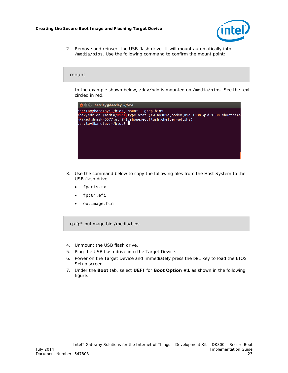

2. Remove and reinsert the USB flash drive. It will mount automatically into /media/bios. Use the following command to confirm the mount point:

### mount

In the example shown below, /dev/sdc is mounted on /media/bios. See the text circled in red.



- 3. Use the command below to copy the following files from the Host System to the USB flash drive:
	- fparts.txt
	- fpt64.efi
	- outimage.bin

cp fp\* outimage.bin /media/bios

- 4. Unmount the USB flash drive.
- 5. Plug the USB flash drive into the Target Device.
- 6. Power on the Target Device and immediately press the DEL key to load the BIOS Setup screen.
- 7. Under the **Boot** tab, select **UEFI** for **Boot Option #1** as shown in the following figure.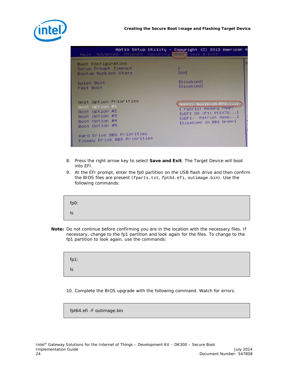



| Main Advanced Chipset Security Boot Save & Exit                                                                  | Aptio Setup Utility - Copyright (C) 2013 American M                                                                      |
|------------------------------------------------------------------------------------------------------------------|--------------------------------------------------------------------------------------------------------------------------|
| Boot Configuration<br>Setup Prompt Timeout<br>Bootup NumLock State                                               | <b>TOn1</b>                                                                                                              |
| Quiet Boot<br>Fast Boot                                                                                          | [Disabled]<br>[Disabled]                                                                                                 |
| Boot Option Priorities<br>Boot Option #1<br>Boot Option #2<br>Boot Option #3<br>Boot Option #4<br>Boot Option #5 | UEFI: Built-in EFI<br>[ Patriot Memory PMAP]<br>[UEFI OS (P1: PLEXTO]<br>[UEFI: Patriot Memo]<br>[Disabled in BBS Order] |
| Hard Drive BBS Priorities<br>Floppy Drive BBS Priorities                                                         |                                                                                                                          |

- 8. Press the right arrow key to select **Save and Exit**. The Target Device will boot into EFI.
- 9. At the EFI prompt, enter the fp0 partition on the USB flash drive and then confirm the BIOS files are present (fparts.txt, fpt64.efi, outimage.bin). Use the following commands:

| fp0:      |  |  |  |
|-----------|--|--|--|
| <b>IS</b> |  |  |  |

*Note:* Do not continue before confirming you are in the location with the necessary files. If necessary, change to the fp1 partition and look again for the files. To change to the fp1 partition to look again, use the commands:

fp1: ls

10. Complete the BIOS upgrade with the following command. Watch for errors.

fpt64.efi -F outimage.bin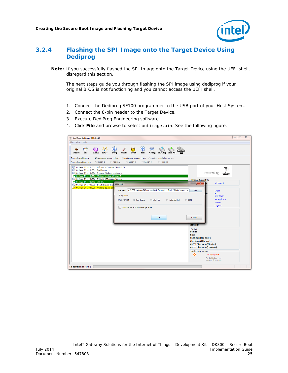

## **3.2.4 Flashing the SPI Image onto the Target Device Using Dediprog**

<span id="page-24-0"></span>*Note:* If you successfully flashed the SPI Image onto the Target Device using the UEFI shell, disregard this section.

The next steps guide you through flashing the SPI image using dediprog if your original BIOS is not functioning and you cannot access the UEFI shell.

- 1. Connect the Dediprog SF100 programmer to the USB port of your Host System.
- 2. Connect the 8-pin header to the Target Device.
- 3. Execute DediProg Engineering software.
- 4. Click **File** and browse to select outimage.bin. See the following figure.

| DediProg Software SF6.0.4.29<br>File View Help                                                                                                                                                                                                                                                                             |                                                                                                                                                                                            |                                          |                                                                                                                                                                                                                                                                                       | $\Box$ |
|----------------------------------------------------------------------------------------------------------------------------------------------------------------------------------------------------------------------------------------------------------------------------------------------------------------------------|--------------------------------------------------------------------------------------------------------------------------------------------------------------------------------------------|------------------------------------------|---------------------------------------------------------------------------------------------------------------------------------------------------------------------------------------------------------------------------------------------------------------------------------------|--------|
| $\bullet$<br>File<br><b>Blank</b><br><b>Erase</b><br>Prog<br>Detect<br>Currently working on:                                                                                                                                                                                                                               | $\circ$<br>Batch<br>Edit<br>Verify<br>Application Memory Chip 1 Application Memory Chip 2 Update Stand Alone Project                                                                       | Config Load Pri Save Pri<br>Pri          |                                                                                                                                                                                                                                                                                       |        |
| @ Region 1<br>Region 2<br>Currently working region:<br>(i) 2014-Apr-04 10:48:58: Welcome to DediProg SF6.0.4.29<br>(i) 2014-Apr-04 10:48:58: Start logging<br>(i) 2014-Apr-04 10:48:58: Checking Windows version<br>2014-Apr-04 10:48:58: Windows version: Windows 7<br>(i) 2014-Apr-04 10:48:58: Checking USB connnection | Region 3<br>Region 4                                                                                                                                                                       | Region 5                                 | <u>p</u><br>Powered by                                                                                                                                                                                                                                                                |        |
| 2014-Apr-04 10:48:58: USB OK.<br>(i) 2014-Apr-04 10:49:00: 1.612s elapsed to id<br>2014-Apr-04 10:49:00: Warning: device unr                                                                                                                                                                                               | <b>Load File</b><br>File Path: C:\UEFI_tools\AMI\Flash_Manifest_Generation_Tool_2\Flash_Image_ ><br>Program as<br>Data Format:<br>C Raw Binary<br>Truncate file to fit in the target area. | <b>O</b> Intel Hex<br>Motorola S19<br>OK | Windows System Info<br>Windows 7<br>$\mathbf{x}$<br>Find<br>SF100<br>4.1.1<br>3.5V / OFF<br>Not Applicable<br><b>ROM</b><br>12 MHz<br>Single IO<br>Cancel                                                                                                                             |        |
|                                                                                                                                                                                                                                                                                                                            |                                                                                                                                                                                            |                                          | JEDEC ID:<br>File Info<br>Name:<br>Size:<br><b>Checksum</b> (File size):<br><b>Checksum(Chip size):</b><br><b>CRC32 Checksum(file size):</b><br><b>CRC32 Checksum(chip size):</b><br><b>Batch Config setting</b><br>۰<br>Full Chip update<br>Partial Update and<br>starting from:0x00 |        |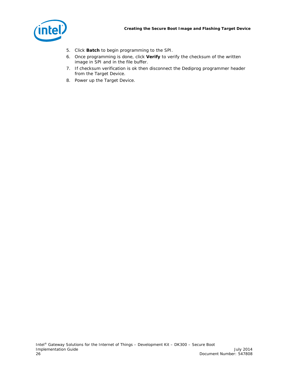

- 5. Click **Batch** to begin programming to the SPI.
- 6. Once programming is done, click **Verify** to verify the checksum of the written image in SPI and in the file buffer.
- 7. If checksum verification is ok then disconnect the Dediprog programmer header from the Target Device.
- 8. Power up the Target Device.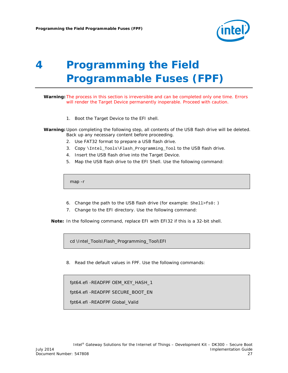

# <span id="page-26-0"></span>*4 Programming the Field Programmable Fuses (FPF)*

*Warning:* The process in this section is irreversible and can be completed only one time. Errors will render the Target Device permanently inoperable. Proceed with caution.

1. Boot the Target Device to the EFI shell.

*Warning:* Upon completing the following step, all contents of the USB flash drive will be deleted. Back up any necessary content before proceeding.

- 2. Use FAT32 format to prepare a USB flash drive.
- 3. Copy \Intel\_Tools\Flash\_Programming\_Tool to the USB flash drive.
- 4. Insert the USB flash drive into the Target Device.
- 5. Map the USB flash drive to the EFI Shell. Use the following command:

map -r

- 6. Change the path to the USB flash drive (for example: Shell>fs0: )
- 7. Change to the EFI directory. Use the following command:

*Note:* In the following command, replace EFI with EFI32 if this is a 32-bit shell.

cd \Intel\_Tools\Flash\_Programming\_Tool\EFI

8. Read the default values in FPF. Use the following commands:

fpt64.efi -READFPF OEM\_KEY\_HASH\_1 fpt64.efi -READFPF SECURE\_BOOT\_EN fpt64.efi -READFPF Global\_Valid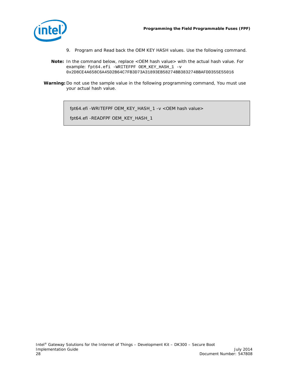

- 9. Program and Read back the OEM KEY HASH values. Use the following command.
- *Note:* In the command below, replace <OEM hash value> with the actual hash value. For example: fpt64.efi -WRITEFPF OEM\_KEY\_HASH\_1 -v 0x2D8CE4A658C6A45D2B64C7FB3D73A31893EB58274BB383274BBAFDD355E55016
- *Warning:* Do not use the sample value in the following programming command, You must use your actual hash value.

fpt64.efi -WRITEFPF OEM\_KEY\_HASH\_1 -v <OEM hash value>

fpt64.efi -READFPF OEM\_KEY\_HASH\_1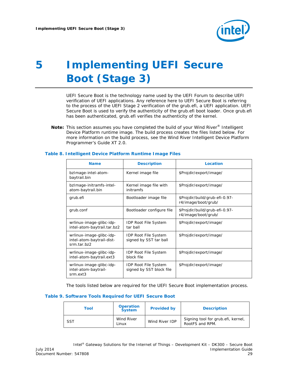

# <span id="page-28-0"></span>*5 Implementing UEFI Secure Boot (Stage 3)*

UEFI Secure Boot is the technology name used by the UEFI Forum to describe UEFI verification of UEFI applications. Any reference here to UEFI Secure Boot is referring to the process of the UEFI Stage 2 verification of the grub.efi, a UEFI application. UEFI Secure Boot is used to verify the authenticity of the grub.efi boot loader. Once grub.efi has been authenticated, grub.efi verifies the authenticity of the kernel.

**Note:** This section assumes you have completed the build of your Wind River<sup>®</sup> Intelligent Device Platform runtime image. The build process creates the files listed below. For more information on the build process, see the *Wind River Intelligent Device Platform Programmer's Guide XT 2.0.*

| <b>Name</b>                                                          | <b>Description</b>                                      | Location                                              |
|----------------------------------------------------------------------|---------------------------------------------------------|-------------------------------------------------------|
| bzImage-intel-atom-<br>baytrail.bin                                  | Kernel image file                                       | \$Projdir/export/image/                               |
| bzImage-initramfs-intel-<br>atom-baytrail.bin                        | Kernel image file with<br>initramfs                     | \$Projdir/export/image/                               |
| grub.efi                                                             | Bootloader image file                                   | \$Projdir/build/grub-efi-0.97-<br>r4/image/boot/grub/ |
| grub.conf                                                            | Bootloader configure file                               | \$Projdir/build/grub-efi-0.97-<br>r4/image/boot/grub/ |
| wrlinux-image-glibc-idp-<br>intel-atom-baytrail.tar.bz2              | <b>IDP Root File System</b><br>tar ball                 | \$Projdir/export/image/                               |
| wrlinux-image-glibc-idp-<br>intel-atom-baytrail-dist-<br>srm.tar.bz2 | <b>IDP Root File System</b><br>signed by SST tar ball   | \$Projdir/export/image/                               |
| wrlinux-image-glibc-idp-<br>intel-atom-baytrail.ext3                 | <b>IDP Root File System</b><br>block file               | \$Projdir/export/image/                               |
| wrlinux-image-glibc-idp-<br>intel-atom-baytrail-<br>srm.ext3         | <b>IDP Root File System</b><br>signed by SST block file | \$Projdir/export/image/                               |

#### <span id="page-28-1"></span>**Table 8. Intelligent Device Platform Runtime Image Files**

The tools listed below are required for the UEFI Secure Boot implementation process.

#### <span id="page-28-2"></span>**Table 9. Software Tools Required for UEFI Secure Boot**

| Tool       | <b>Operation</b><br><b>System</b> | <b>Provided by</b> | <b>Description</b>                                    |
|------------|-----------------------------------|--------------------|-------------------------------------------------------|
| <b>SST</b> | Wind River<br>Linux               | Wind River IDP     | Signing tool for grub.efi, kernel,<br>RootFS and RPM. |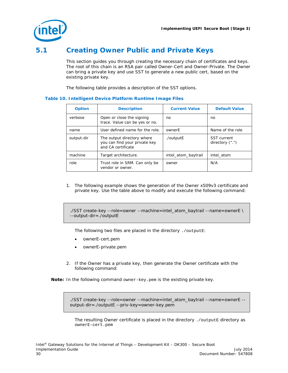

# **5.1 Creating Owner Public and Private Keys**

<span id="page-29-0"></span>This section guides you through creating the necessary chain of certificates and keys. The root of this chain is an RSA pair called Owner-Cert and Owner-Private. The Owner can bring a private key and use SST to generate a new public cert, based on the existing private key.

The following table provides a description of the SST options.

| <b>Option</b> | <b>Description</b>                                                                | <b>Current Value</b> | <b>Default Value</b>                     |
|---------------|-----------------------------------------------------------------------------------|----------------------|------------------------------------------|
| verbose       | Open or close the signing<br>trace. Value can be yes or no.                       | no                   | no                                       |
| name          | User defined name for the role.                                                   | ownerE               | Name of the role                         |
| output-dir    | The output directory where<br>you can find your private key<br>and CA certificate | ./outputE            | <b>SST</b> current<br>directory $($ ".") |
| machine       | Target architecture.                                                              | intel atom baytrail  | intel atom                               |
| role          | Trust role in SRM. Can only be<br>vendor or owner.                                | owner                | N/A                                      |

### <span id="page-29-1"></span>**Table 10. Intelligent Device Platform Runtime Image Files**

1. The following example shows the generation of the Owner x509v3 certificate and private key. Use the table above to modify and execute the following command:

./SST create-key --role=owner --machine=intel\_atom\_baytrail --name=ownerE \ --output-dir=./outputE

The following two files are placed in the directory ./outputE:

- ownerE-cert.pem
- ownerE-private.pem
- 2. If the Owner has a private key, then generate the Owner certificate with the following command:

*Note:* In the following command owner-key.pem is the existing private key.

./SST create-key --role=owner --machine=intel\_atom\_baytrail --name=ownerE - output-dir=./outputE --priv-key=owner-key.pem

The resulting Owner certificate is placed in the directory ./outputE directory as ownerE-cert.pem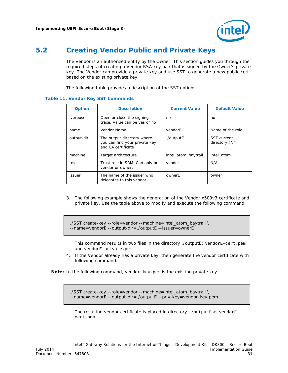

## **5.2 Creating Vendor Public and Private Keys**

<span id="page-30-0"></span>The Vendor is an authorized entity by the Owner. This section guides you through the required steps of creating a Vendor RSA key pair that is signed by the Owner's private key. The Vendor can provide a private key and use SST to generate a new public cert based on the existing private key.

The following table provides a description of the SST options.

| <b>Option</b>   | <b>Description</b>                                                                | <b>Current Value</b> | <b>Default Value</b>                     |
|-----------------|-----------------------------------------------------------------------------------|----------------------|------------------------------------------|
| <i>lverbose</i> | Open or close the signing<br>trace. Value can be yes or no                        | no                   | no                                       |
| name            | Vendor Name                                                                       | vendorE              | Name of the role                         |
| output-dir      | The output directory where<br>you can find your private key<br>and CA certificate | ./outputE            | <b>SST</b> current<br>directory $($ ".") |
| machine         | Target architecture.                                                              | intel atom baytrail  | intel atom                               |
| role            | Trust role in SRM. Can only be<br>vendor or owner.                                | vendor               | N/A                                      |
| issuer          | The name of the issuer who<br>delegates to this vendor                            | ownerF               | owner                                    |

### <span id="page-30-1"></span>**Table 11. Vendor Key SST Commands**

3. The following example shows the generation of the Vendor x509v3 certificate and private key. Use the table above to modify and execute the following command:

```
./SST create-key --role=vendor --machine=intel_atom_baytrail \
--name=vendorE --output-dir=./outputE --issuer=ownerE
```
This command results in two files in the directory ./outputE: vendorE-cert.pem and vendorE-private.pem

4. If the Vendor already has a private key, then generate the vendor certificate with following command.

*Note:* In the following command, vendor-key.pem is the existing private key.

./SST create-key --role=vendor --machine=intel\_atom\_baytrail \ --name=vendorE --output-dir=./outputE --priv-key=vendor-key.pem

The resulting vendor certificate is placed in directory . /outputE as vendorEcert.pem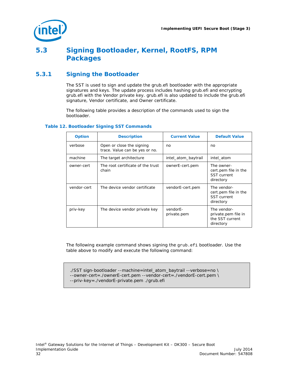

# <span id="page-31-0"></span>**5.3 Signing Bootloader, Kernel, RootFS, RPM Packages**

## **5.3.1 Signing the Bootloader**

<span id="page-31-1"></span>The SST is used to sign and update the grub.efi bootloader with the appropriate signatures and keys. The update process includes hashing grub.efi and encrypting grub.efi with the Vendor private key. grub.efi is also updated to include the grub.efi signature, Vendor certificate, and Owner certificate.

The following table provides a description of the commands used to sign the bootloader.

### <span id="page-31-2"></span>**Table 12. Bootloader Signing SST Commands**

| <b>Option</b> | <b>Description</b>                                          | <b>Current Value</b>    | <b>Default Value</b>                                                   |
|---------------|-------------------------------------------------------------|-------------------------|------------------------------------------------------------------------|
| verbose       | Open or close the signing<br>trace. Value can be yes or no. | no                      | no                                                                     |
| machine       | The target architecture                                     | intel_atom_baytrail     | intel atom                                                             |
| owner-cert    | The root certificate of the trust<br>chain                  | ownerE-cert.pem         | The owner-<br>cert pem file in the<br><b>SST</b> current<br>directory  |
| vendor-cert   | The device vendor certificate                               | vendorE-cert.pem        | The vendor-<br>cert pem file in the<br><b>SST</b> current<br>directory |
| priv-key      | The device vendor private key                               | vendorE-<br>private.pem | The vendor-<br>private.pem file in<br>the SST current<br>directory     |

The following example command shows signing the grub.efi bootloader. Use the table above to modify and execute the following command:

./SST sign-bootloader --machine=intel\_atom\_baytrail --verbose=no \ --owner-cert=./ownerE-cert.pem --vendor-cert=./vendorE-cert.pem \ --priv-key=./vendorE-private.pem ./grub.efi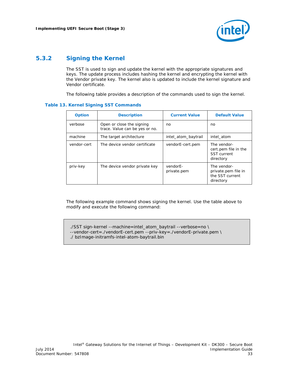

## **5.3.2 Signing the Kernel**

<span id="page-32-0"></span>The SST is used to sign and update the kernel with the appropriate signatures and keys. The update process includes hashing the kernel and encrypting the kernel with the Vendor private key. The kernel also is updated to include the kernel signature and Vendor certificate.

The following table provides a description of the commands used to sign the kernel.

### <span id="page-32-1"></span>**Table 13. Kernel Signing SST Commands**

| <b>Option</b> | <b>Description</b>                                          | <b>Current Value</b>    | <b>Default Value</b>                                                   |
|---------------|-------------------------------------------------------------|-------------------------|------------------------------------------------------------------------|
| verbose       | Open or close the signing<br>trace. Value can be yes or no. | no                      | no                                                                     |
| machine       | The target architecture                                     | intel_atom_baytrail     | intel atom                                                             |
| vendor-cert   | The device vendor certificate                               | vendorE-cert.pem        | The vendor-<br>cert.pem file in the<br><b>SST</b> current<br>directory |
| priv-key      | The device vendor private key                               | vendorE-<br>private.pem | The vendor-<br>private.pem file in<br>the SST current<br>directory     |

The following example command shows signing the kernel. Use the table above to modify and execute the following command:

./SST sign-kernel --machine=intel\_atom\_baytrail --verbose=no \ --vendor-cert=./vendorE-cert.pem --priv-key=./vendorE-private.pem \ ./ bzImage-initramfs-intel-atom-baytrail.bin

Intel® Gateway Solutions for the Internet of Things – Development Kit – DK300 – Secure Boot July 2014 Implementation Guide Document Number: 547808 33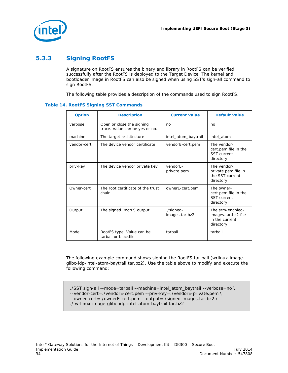

## **5.3.3 Signing RootFS**

<span id="page-33-0"></span>A signature on RootFS ensures the binary and library in RootFS can be verified successfully after the RootFS is deployed to the Target Device. The kernel and bootloader image in RootFS can also be signed when using SST's sign-all command to sign RootFS.

The following table provides a description of the commands used to sign RootFS.

### <span id="page-33-1"></span>**Table 14. RootFS Signing SST Commands**

| <b>Option</b> | <b>Description</b>                                          | <b>Current Value</b>        | <b>Default Value</b>                                                   |
|---------------|-------------------------------------------------------------|-----------------------------|------------------------------------------------------------------------|
| verbose       | Open or close the signing<br>trace. Value can be yes or no. | no                          | no                                                                     |
| machine       | The target architecture                                     | intel_atom_baytrail         | intel atom                                                             |
| vendor-cert   | The device vendor certificate                               | vendorE-cert.pem            | The vendor-<br>cert.pem file in the<br><b>SST</b> current<br>directory |
| priv-key      | The device vendor private key                               | vendorE-<br>private.pem     | The vendor-<br>private.pem file in<br>the SST current<br>directory     |
| Owner-cert    | The root certificate of the trust<br>chain                  | ownerE-cert.pem             | The owner-<br>cert.pem file in the<br><b>SST</b> current<br>directory  |
| Output        | The signed RootFS output                                    | ./signed-<br>images.tar.bz2 | The srm-enabled-<br>images.tar.bz2 file<br>in the current<br>directory |
| Mode          | RootFS type. Value can be<br>tarball or blockfile           | tarball                     | tarball                                                                |

The following example command shows signing the RootFS tar ball (wrlinux-imageglibc-idp-intel-atom-baytrail.tar.bz2). Use the table above to modify and execute the following command:

./SST sign-all --mode=tarball --machine=intel\_atom\_baytrail --verbose=no \ --vendor-cert=./vendorE-cert.pem --priv-key=./vendorE-private.pem \ --owner-cert=./ownerE-cert.pem --output=./signed-images.tar.bz2 \ ./ wrlinux-image-glibc-idp-intel-atom-baytrail.tar.bz2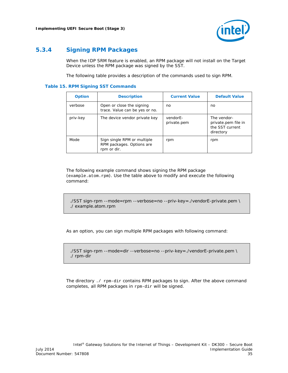

## **5.3.4 Signing RPM Packages**

<span id="page-34-0"></span>When the IDP SRM feature is enabled, an RPM package will not install on the Target Device unless the RPM package was signed by the SST.

The following table provides a description of the commands used to sign RPM.

#### <span id="page-34-1"></span>**Table 15. RPM Signing SST Commands**

| <b>Option</b> | <b>Description</b>                                                      | <b>Current Value</b>    | <b>Default Value</b>                                               |
|---------------|-------------------------------------------------------------------------|-------------------------|--------------------------------------------------------------------|
| verbose       | Open or close the signing<br>trace. Value can be yes or no.             | no                      | no                                                                 |
| priv-key      | The device vendor private key                                           | vendorE-<br>private.pem | The vendor-<br>private.pem file in<br>the SST current<br>directory |
| Mode          | Sign single RPM or multiple<br>RPM packages. Options are<br>rpm or dir. | rpm                     | rpm                                                                |

The following example command shows signing the RPM package (example.atom.rpm). Use the table above to modify and execute the following command:

./SST sign-rpm --mode=rpm --verbose=no --priv-key=./vendorE-private.pem \ ./ example.atom.rpm

As an option, you can sign multiple RPM packages with following command:

./SST sign-rpm --mode=dir --verbose=no --priv-key=./vendorE-private.pem \ ./ rpm-dir

The directory ./ rpm-dir contains RPM packages to sign. After the above command completes, all RPM packages in rpm-dir will be signed.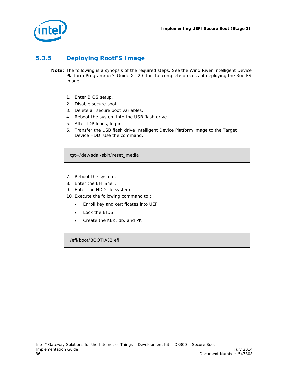

## **5.3.5 Deploying RootFS Image**

- <span id="page-35-0"></span>*Note:* The following is a synopsis of the required steps. See the *Wind River Intelligent Device Platform Programmer's Guide XT 2.0* for the complete process of deploying the RootFS image.
	- 1. Enter BIOS setup.
	- 2. Disable secure boot.
	- 3. Delete all secure boot variables.
	- 4. Reboot the system into the USB flash drive.
	- 5. After IDP loads, log in.
	- 6. Transfer the USB flash drive Intelligent Device Platform image to the Target Device HDD. Use the command:

tgt=/dev/sda /sbin/reset\_media

- 7. Reboot the system.
- 8. Enter the EFI Shell.
- 9. Enter the HDD file system.
- 10. Execute the following command to :
	- Enroll key and certificates into UEFI
	- Lock the BIOS
	- Create the KEK, db, and PK

/efi/boot/BOOTIA32.efi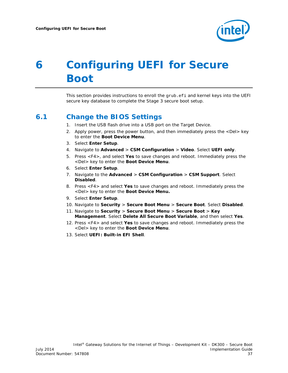

# <span id="page-36-0"></span>*6 Configuring UEFI for Secure Boot*

<span id="page-36-1"></span>This section provides instructions to enroll the grub.efi and kernel keys into the UEFI secure key database to complete the Stage 3 secure boot setup.

## **6.1 Change the BIOS Settings**

- 1. Insert the USB flash drive into a USB port on the Target Device.
- 2. Apply power, press the power button, and then immediately press the <Del> key to enter the **Boot Device Menu**.
- 3. Select **Enter Setup**.
- 4. Navigate to **Advanced** > **CSM Configuration** > **Video**. Select **UEFI only**.
- 5. Press <F4>, and select **Yes** to save changes and reboot. Immediately press the <Del> key to enter the **Boot Device Menu**.
- 6. Select **Enter Setup**.
- 7. Navigate to the **Advanced** > **CSM Configuration** > **CSM Support**. Select **Disabled**.
- 8. Press <F4> and select **Yes** to save changes and reboot. Immediately press the <Del> key to enter the **Boot Device Menu.**
- 9. Select **Enter Setup**.
- 10. Navigate to **Security** > **Secure Boot Menu** > **Secure Boot**. Select **Disabled**.
- 11. Navigate to **Security** > **Secure Boot Menu** > **Secure Boot** > **Key Management**. Select **Delete All Secure Boot Variable**, and then select **Yes**.
- 12. Press <F4> and select **Yes** to save changes and reboot. Immediately press the <Del> key to enter the **Boot Device Menu**.
- 13. Select **UEFI: Built-in EFI Shell**.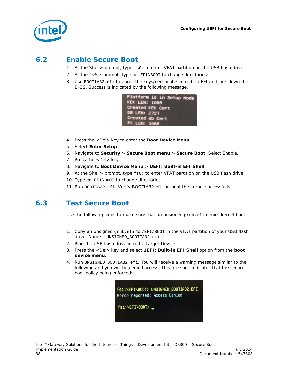

# **6.2 Enable Secure Boot**

- <span id="page-37-0"></span>1. At the Shell> prompt, type fs0: to enter VFAT partition on the USB flash drive.
- 2. At the fs0:\ prompt, type cd EFI\BOOT to change directories:
- 3. Use BOOTIA32.efi to enroll the keys/certificates into the UEFI and lock down the BIOS. Success is indicated by the following message.

| Platform is in Setup Mode |
|---------------------------|
| <b>KEK LEN: 1068</b>      |
| Created KEK Cert          |
| <b>DB LEN: 2727</b>       |
| Created db Cert           |
| <b>PK LEN: 1068</b>       |

- 4. Press the <Del> key to enter the **Boot Device Menu**.
- 5. Select **Enter Setup**.
- 6. Navigate to **Security** > **Secure Boot menu** > **Secure Boot**. Select Enable.
- 7. Press the <Del> key.
- 8. Navigate to **Boot Device Menu** > **UEFI: Built-in EFI Shell**.
- 9. At the Shell> prompt, type fs0: to enter VFAT partition on the USB flash drive.
- 10. Type cd EFI\BOOT to change directories.
- <span id="page-37-1"></span>11. Run BOOTIA32.efi. Verify BOOTIA32.efi can boot the kernel successfully.

## **6.3 Test Secure Boot**

Use the following steps to make sure that an unsigned grub.efi denies kernel boot.

- 1. Copy an unsigned grub.efi to /EFI/BOOT in the VFAT partition of your USB flash drive. Name it UNSIGNED\_BOOTIA32.efi
- 2. Plug the USB flash drive into the Target Device.
- 3. Press the <Del> key and select **UEFI: Built-in EFI Shell** option from the **boot device menu**.
- 4. Run UNSIGNED\_BOOTIA32.efi. You will receive a warning message similar to the following and you will be denied access. This message indicates that the secure boot policy being enforced: